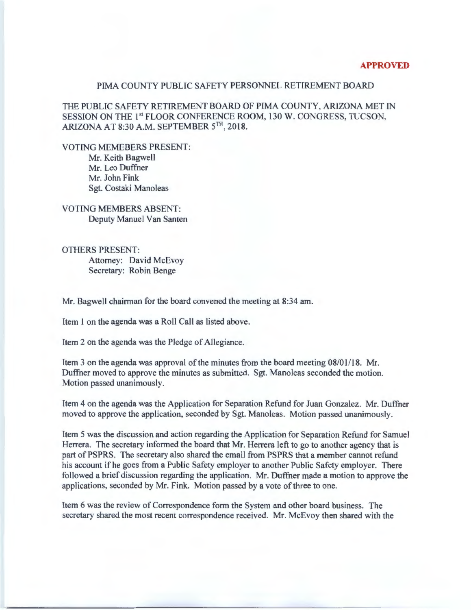## **APPROVED**

## PIMA COUNTY PUBLIC SAFETY PERSONNEL RETIREMENT BOARD

THE PUBLIC SAFETY RETIREMENT BOARD OF PIMA COUNTY, ARIZONA MET IN SESSION ON THE 1<sup>st</sup> FLOOR CONFERENCE ROOM, 130 W. CONGRESS, TUCSON, ARIZONA AT 8:30 A.M. SEPTEMBER 5TH, 2018.

VOTING MEMEBERS PRESENT:

Mr. Keith Bagwell Mr. Leo Duffner Mr. John Fink Sgt. Costaki Manoleas

VOTING MEMBERS ABSENT: Deputy Manuel Van Santen

OTHERS PRESENT: Attorney: David McEvoy Secretary: Robin Benge

Mr. Bagwell chairman for the board convened the meeting at 8:34am.

Item 1 on the agenda was a Roll Call as listed above.

Item 2 on the agenda was the Pledge of Allegiance.

Item 3 on the agenda was approval of the minutes from the board meeting  $08/01/18$ . Mr. Duffner moved to approve the minutes as submitted. Sgt. Manoleas seconded the motion. Motion passed unanimously.

Item 4 on the agenda was the Application for Separation Refund for Juan Gonzalez. Mr. Duffner moved to approve the application, seconded by Sgt. Manoleas. Motion passed unanimously.

Item 5 was the discussion and action regarding the Application for Separation Refund for Samuel Herrera. The secretary informed the board that Mr. Herrera left to go to another agency that is part of PSPRS. The secretary also shared the email from PSPRS that a member cannot refund his account if he goes from a Public Safety employer to another Public Safety employer. There followed a brief discussion regarding the application. Mr. Duffner made a motion to approve the applications, seconded by Mr. Fink. Motion passed by a vote of three to one.

Item 6 was the review of Correspondence form the System and other board business. The secretary shared the most recent correspondence received. Mr. McEvoy then shared with the